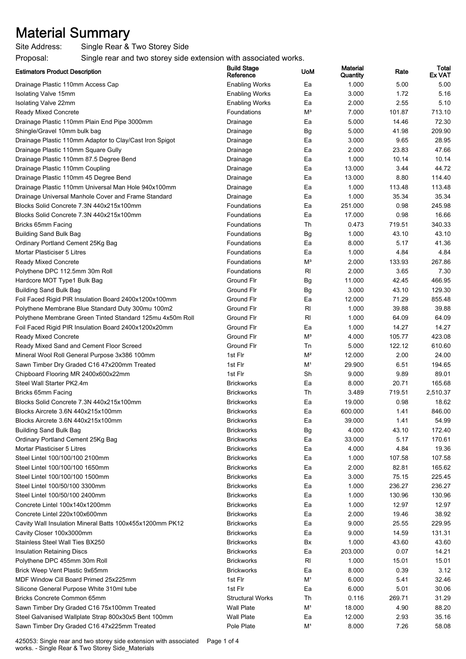## Material Summary

Site Address: Single Rear & Two Storey Side

Proposal: Single rear and two storey side extension with associated works.

| <b>Estimators Product Description</b>                     | <b>Build Stage</b><br>Reference | <b>UoM</b>     | Material<br>Quantity | Rate   | Total<br><b>Ex VAT</b> |
|-----------------------------------------------------------|---------------------------------|----------------|----------------------|--------|------------------------|
| Drainage Plastic 110mm Access Cap                         | <b>Enabling Works</b>           | Ea             | 1.000                | 5.00   | 5.00                   |
| Isolating Valve 15mm                                      | <b>Enabling Works</b>           | Ea             | 3.000                | 1.72   | 5.16                   |
| Isolating Valve 22mm                                      | <b>Enabling Works</b>           | Ea             | 2.000                | 2.55   | 5.10                   |
| <b>Ready Mixed Concrete</b>                               | Foundations                     | $M^3$          | 7.000                | 101.87 | 713.10                 |
| Drainage Plastic 110mm Plain End Pipe 3000mm              | Drainage                        | Ea             | 5.000                | 14.46  | 72.30                  |
| Shingle/Gravel 10mm bulk bag                              | Drainage                        | Bg             | 5.000                | 41.98  | 209.90                 |
| Drainage Plastic 110mm Adaptor to Clay/Cast Iron Spigot   | Drainage                        | Ea             | 3.000                | 9.65   | 28.95                  |
| Drainage Plastic 110mm Square Gully                       | Drainage                        | Ea             | 2.000                | 23.83  | 47.66                  |
| Drainage Plastic 110mm 87.5 Degree Bend                   | Drainage                        | Ea             | 1.000                | 10.14  | 10.14                  |
| Drainage Plastic 110mm Coupling                           | Drainage                        | Ea             | 13.000               | 3.44   | 44.72                  |
| Drainage Plastic 110mm 45 Degree Bend                     | Drainage                        | Ea             | 13.000               | 8.80   | 114.40                 |
| Drainage Plastic 110mm Universal Man Hole 940x100mm       | Drainage                        | Ea             | 1.000                | 113.48 | 113.48                 |
| Drainage Universal Manhole Cover and Frame Standard       | Drainage                        | Ea             | 1.000                | 35.34  | 35.34                  |
| Blocks Solid Concrete 7.3N 440x215x100mm                  | Foundations                     | Ea             | 251.000              | 0.98   | 245.98                 |
| Blocks Solid Concrete 7.3N 440x215x100mm                  | Foundations                     | Ea             | 17.000               | 0.98   | 16.66                  |
| Bricks 65mm Facing                                        | Foundations                     | Th             | 0.473                | 719.51 | 340.33                 |
| <b>Building Sand Bulk Bag</b>                             | Foundations                     | Bg             | 1.000                | 43.10  | 43.10                  |
| Ordinary Portland Cement 25Kg Bag                         | Foundations                     | Ea             | 8.000                | 5.17   | 41.36                  |
| Mortar Plasticiser 5 Litres                               | Foundations                     | Ea             | 1.000                | 4.84   | 4.84                   |
| <b>Ready Mixed Concrete</b>                               | Foundations                     | $M^3$          | 2.000                | 133.93 | 267.86                 |
| Polythene DPC 112.5mm 30m Roll                            | Foundations                     | RI             | 2.000                | 3.65   | 7.30                   |
| Hardcore MOT Type1 Bulk Bag                               | Ground Flr                      | Bg             | 11.000               | 42.45  | 466.95                 |
| <b>Building Sand Bulk Bag</b>                             | Ground Flr                      | Bg             | 3.000                | 43.10  | 129.30                 |
| Foil Faced Rigid PIR Insulation Board 2400x1200x100mm     | Ground Flr                      | Ea             | 12.000               | 71.29  | 855.48                 |
| Polythene Membrane Blue Standard Duty 300mu 100m2         | Ground Flr                      | $R_{\rm I}$    | 1.000                | 39.88  | 39.88                  |
| Polythene Membrane Green Tinted Standard 125mu 4x50m Roll | Ground Flr                      | RI             | 1.000                | 64.09  | 64.09                  |
| Foil Faced Rigid PIR Insulation Board 2400x1200x20mm      | Ground Flr                      | Ea             | 1.000                | 14.27  | 14.27                  |
| <b>Ready Mixed Concrete</b>                               | Ground Flr                      | $M^3$          | 4.000                | 105.77 | 423.08                 |
| Ready Mixed Sand and Cement Floor Screed                  | Ground Flr                      | Тn             | 5.000                | 122.12 | 610.60                 |
| Mineral Wool Roll General Purpose 3x386 100mm             | 1st Flr                         | M <sup>2</sup> | 12.000               | 2.00   | 24.00                  |
| Sawn Timber Dry Graded C16 47x200mm Treated               | 1st Flr                         | M <sup>1</sup> | 29.900               | 6.51   | 194.65                 |
| Chipboard Flooring MR 2400x600x22mm                       | 1st Flr                         | Sh             | 9.000                | 9.89   | 89.01                  |
| Steel Wall Starter PK2.4m                                 | <b>Brickworks</b>               | Ea             | 8.000                | 20.71  | 165.68                 |
| Bricks 65mm Facing                                        | <b>Brickworks</b>               | Th             | 3.489                | 719.51 | 2,510.37               |
| Blocks Solid Concrete 7.3N 440x215x100mm                  | <b>Brickworks</b>               | Ea             | 19.000               | 0.98   | 18.62                  |
| Blocks Aircrete 3.6N 440x215x100mm                        | <b>Brickworks</b>               | Ea             | 600.000              | 1.41   | 846.00                 |
| Blocks Aircrete 3.6N 440x215x100mm                        | <b>Brickworks</b>               | Ea             | 39.000               | 1.41   | 54.99                  |
| <b>Building Sand Bulk Bag</b>                             | <b>Brickworks</b>               | Bg             | 4.000                | 43.10  | 172.40                 |
| Ordinary Portland Cement 25Kg Bag                         | <b>Brickworks</b>               | Ea             | 33.000               | 5.17   | 170.61                 |
| Mortar Plasticiser 5 Litres                               | <b>Brickworks</b>               | Ea             | 4.000                | 4.84   | 19.36                  |
| Steel Lintel 100/100/100 2100mm                           | <b>Brickworks</b>               | Ea             | 1.000                | 107.58 | 107.58                 |
| Steel Lintel 100/100/100 1650mm                           | <b>Brickworks</b>               | Ea             | 2.000                | 82.81  | 165.62                 |
| Steel Lintel 100/100/100 1500mm                           | <b>Brickworks</b>               | Ea             | 3.000                | 75.15  | 225.45                 |
| Steel Lintel 100/50/100 3300mm                            | <b>Brickworks</b>               | Ea             | 1.000                | 236.27 | 236.27                 |
| Steel Lintel 100/50/100 2400mm                            | <b>Brickworks</b>               | Ea             | 1.000                | 130.96 | 130.96                 |
| Concrete Lintel 100x140x1200mm                            | <b>Brickworks</b>               | Ea             | 1.000                | 12.97  | 12.97                  |
| Concrete Lintel 220x100x600mm                             | <b>Brickworks</b>               | Ea             | 2.000                | 19.46  | 38.92                  |
| Cavity Wall Insulation Mineral Batts 100x455x1200mm PK12  | <b>Brickworks</b>               | Ea             | 9.000                | 25.55  | 229.95                 |
| Cavity Closer 100x3000mm                                  | <b>Brickworks</b>               | Ea             | 9.000                | 14.59  | 131.31                 |
| Stainless Steel Wall Ties BX250                           | <b>Brickworks</b>               | Bx             | 1.000                | 43.60  | 43.60                  |
| Insulation Retaining Discs                                | <b>Brickworks</b>               | Ea             | 203.000              | 0.07   | 14.21                  |
| Polythene DPC 455mm 30m Roll                              | <b>Brickworks</b>               | RI             | 1.000                | 15.01  | 15.01                  |
| Brick Weep Vent Plastic 9x65mm                            | <b>Brickworks</b>               | Ea             | 8.000                | 0.39   | 3.12                   |
| MDF Window Cill Board Primed 25x225mm                     | 1st Flr                         | M <sup>1</sup> | 6.000                | 5.41   | 32.46                  |
| Silicone General Purpose White 310ml tube                 | 1st Flr                         | Ea             | 6.000                | 5.01   | 30.06                  |
| Bricks Concrete Common 65mm                               | <b>Structural Works</b>         | Th             | 0.116                | 269.71 | 31.29                  |
| Sawn Timber Dry Graded C16 75x100mm Treated               | <b>Wall Plate</b>               | M <sup>1</sup> | 18.000               | 4.90   | 88.20                  |
| Steel Galvanised Wallplate Strap 800x30x5 Bent 100mm      | <b>Wall Plate</b>               | Ea             | 12.000               | 2.93   | 35.16                  |
| Sawn Timber Dry Graded C16 47x225mm Treated               | Pole Plate                      | M <sup>1</sup> | 8.000                | 7.26   | 58.08                  |

425053: Single rear and two storey side extension with associated works. - Single Rear & Two Storey Side\_Materials Page 1 of 4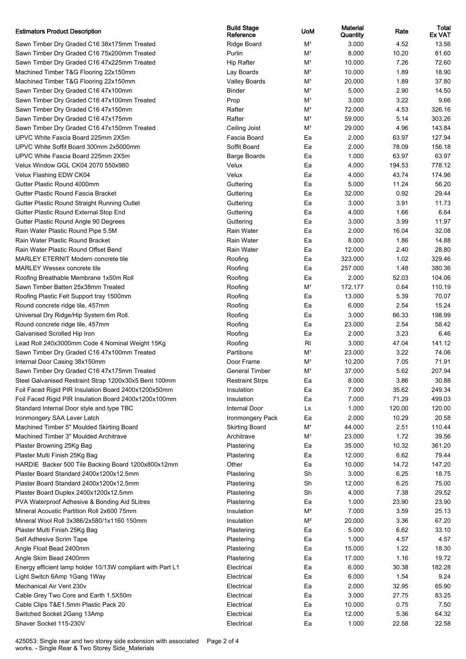## Estimators Product Description Build State of the Build State Build State of the Build State of the Build State of the Build State of the Build State of the Build State of the Build State of the Build State of the Building

Sawn Timber Dry Graded C16 38x175mm Treated Sawn Timber Dry Graded C16 75x200mm Treated Sawn Timber Dry Graded C16 47x225mm Treated Machined Timber T&G Flooring 22x150mm Machined Timber T&G Flooring 22x150mm Sawn Timber Dry Graded C16 47x100mm Sawn Timber Dry Graded C16 47x100mm Treated Sawn Timber Dry Graded C16 47x150mm Sawn Timber Dry Graded C16 47x175mm Sawn Timber Dry Graded C16 47x150mm Treated UPVC White Fascia Board 225mm 2X5m UPVC White Soffit Board 300mm 2x5000mm UPVC White Fascia Board 225mm 2X5m Velux Window GGL CK04 2070 550x980 Velux Flashing EDW CK04 Gutter Plastic Round 4000mm Gutter Plastic Round Fascia Bracket Gutter Plastic Round Straight Running Outlet Gutter Plastic Round External Stop End Gutter Plastic Round Angle 90 Degrees Rain Water Plastic Round Pipe 5.5M Rain Water Plastic Round Bracket Rain Water Plastic Round Offset Bend MARLEY ETERNIT Modern concrete tile MARLEY Wessex concrete tile Roofing Breathable Membrane 1x50m Roll Sawn Timber Batten 25x38mm Treated Roofing Plastic Felt Support tray 1500mm Round concrete ridge tile, 457mm Universal Dry Ridge/Hip System 6m Roll. Round concrete ridge tile, 457mm Galvanised Scrolled Hip Iron Lead Roll 240x3000mm Code 4 Nominal Weight 15Kg Sawn Timber Dry Graded C16 47x100mm Treated Internal Door Casing 38x150mm Sawn Timber Dry Graded C16 47x175mm Treated Steel Galvanised Restraint Strap 1200x30x5 Bent 100mm Foil Faced Rigid PIR Insulation Board 2400x1200x50mm Foil Faced Rigid PIR Insulation Board 2400x1200x100mm Standard Internal Door style and type TBC Ironmongery SAA Lever Latch Machined Timber 5" Moulded Skirting Board Machined Timber 3" Moulded Architrave Plaster Browning 25Kg Bag Plaster Multi Finish 25Kg Bag HARDIE Backer 500 Tile Backing Board 1200x800x12mm Plaster Board Standard 2400x1200x12.5mm Plaster Board Standard 2400x1200x12.5mm Plaster Board Duplex 2400x1200x12.5mm PVA Waterproof Adhesive & Bonding Aid 5Litres Mineral Acoustic Partition Roll 2x600 75mm Mineral Wool Roll 3x386/2x580/1x1160 150mm Plaster Multi Finish 25Kg Bag Self Adhesive Scrim Tape Angle Float Bead 2400mm Angle Skim Bead 2400mm Energy efficient lamp holder 10/13W compliant with Part L1 Light Switch 6Amp 1Gang 1Way Mechanical Air Vent 230v Cable Grey Two Core and Earth 1.5X50m Cable Clips T&E1.5mm Plastic Pack 20. Switched Socket 2Gang 13Amp Shaver Socket 115-230V Electrical Ea 1.000 22.58 22.58

| <b>Build Stage</b><br>Reference | <b>UoM</b>              | Material<br>Quantity | Rate         | Total<br>Ex VAT |
|---------------------------------|-------------------------|----------------------|--------------|-----------------|
| Ridge Board                     | M <sup>1</sup>          | 3.000                | 4.52         | 13.56           |
| Purlin                          | M <sup>1</sup>          | 8.000                | 10.20        | 81.60           |
| <b>Hip Rafter</b>               | M <sup>1</sup>          | 10.000               | 7.26         | 72.60           |
| Lay Boards                      | M <sup>1</sup>          | 10.000               | 1.89         | 18.90           |
| Valley Boards                   | M <sup>1</sup>          | 20.000               | 1.89         | 37.80           |
| Binder                          | M <sup>1</sup>          | 5.000                | 2.90         | 14.50           |
| Prop                            | M <sup>1</sup>          | 3.000                | 3.22         | 9.66            |
| Rafter                          | M <sup>1</sup>          | 72.000               | 4.53         | 326.16          |
| Rafter                          | M <sup>1</sup>          | 59.000               | 5.14         | 303.26          |
| Ceiling Joist                   | M <sup>1</sup>          | 29.000               | 4.96         | 143.84          |
| Fascia Board                    | Ea                      | 2.000                | 63.97        | 127.94          |
| Soffit Board                    | Ea                      | 2.000                | 78.09        | 156.18          |
| Barge Boards                    | Ea                      | 1.000                | 63.97        | 63.97           |
| Velux                           | Ea                      | 4.000                | 194.53       | 778.12          |
| Velux                           | Ea                      | 4.000                | 43.74        | 174.96          |
| Guttering                       | Ea                      | 5.000                | 11.24        | 56.20           |
| Guttering                       | Ea                      | 32.000               | 0.92         | 29.44           |
| Guttering                       | Ea                      | 3.000                | 3.91         | 11.73           |
| Guttering                       | Ea                      | 4.000                | 1.66         | 6.64            |
| Guttering                       | Ea                      | 3.000                | 3.99         | 11.97           |
| Rain Water                      | Ea                      | 2.000                | 16.04        | 32.08           |
| Rain Water                      | Ea                      | 8.000                | 1.86         | 14.88           |
| Rain Water                      | Ea                      | 12.000               | 2.40         | 28.80           |
| Roofing                         | Ea                      | 323.000              | 1.02         | 329.46          |
| Roofing                         | Ea                      | 257.000              | 1.48         | 380.36          |
| Roofing                         | Ea                      | 2.000                | 52.03        | 104.06          |
| Roofing                         | $\mathsf{M}^{\text{1}}$ | 172.177              | 0.64         | 110.19          |
| Roofing                         | Ea                      | 13.000               | 5.39         | 70.07           |
| Roofing                         | Ea                      | 6.000                | 2.54         | 15.24           |
| Roofing                         | Ea                      | 3.000                | 66.33        | 198.99<br>58.42 |
| Roofing                         | Ea<br>Ea                | 23.000<br>2.000      | 2.54<br>3.23 | 6.46            |
| Roofing<br>Roofing              | RI                      | 3.000                | 47.04        | 141.12          |
| Partitions                      | M <sup>1</sup>          | 23.000               | 3.22         | 74.06           |
| Door Frame                      | M <sup>1</sup>          | 10.200               | 7.05         | 71.91           |
| <b>General Timber</b>           | M <sup>1</sup>          | 37.000               | 5.62         | 207.94          |
| <b>Restraint Strps</b>          | Ea                      | 8.000                | 3.86         | 30.88           |
| Insulation                      | Ea                      | 7.000                | 35.62        | 249.34          |
| Insulation                      | Ea                      | 7.000                | 71.29        | 499.03          |
| Internal Door                   | Ls                      | 1.000                | 120.00       | 120.00          |
| Ironmongery Pack                | Ea                      | 2.000                | 10.29        | 20.58           |
| <b>Skirting Board</b>           | M <sup>1</sup>          | 44.000               | 2.51         | 110.44          |
| Architrave                      | M <sup>1</sup>          | 23.000               | 1.72         | 39.56           |
| Plastering                      | Ea                      | 35.000               | 10.32        | 361.20          |
| Plastering                      | Ea                      | 12.000               | 6.62         | 79.44           |
| Other                           | Ea                      | 10.000               | 14.72        | 147.20          |
| Plastering                      | Sh                      | 3.000                | 6.25         | 18.75           |
| Plastering                      | Sh                      | 12.000               | 6.25         | 75.00           |
| Plastering                      | Sh                      | 4.000                | 7.38         | 29.52           |
| Plastering                      | Ea                      | 1.000                | 23.90        | 23.90           |
| Insulation                      | M <sup>2</sup>          | 7.000                | 3.59         | 25.13           |
| Insulation                      | M <sup>2</sup>          | 20.000               | 3.36         | 67.20           |
| Plastering                      | Ea                      | 5.000                | 6.62         | 33.10           |
| Plastering                      | Ea                      | 1.000                | 4.57         | 4.57            |
| Plastering                      | Ea                      | 15.000               | 1.22         | 18.30           |
| Plastering                      | Ea                      | 17.000               | 1.16         | 19.72           |
| Electrical                      | Ea                      | 6.000                | 30.38        | 182.28          |
| Electrical                      | Ea                      | 6.000                | 1.54         | 9.24            |
| Electrical                      | Ea                      | 2.000                | 32.95        | 65.90           |
| Electrical                      | Ea                      | 3.000                | 27.75        | 83.25           |
| Electrical                      | Ea                      | 10.000               | 0.75         | 7.50            |
| Electrical                      | Ea                      | 12.000               | 5.36         | 64.32           |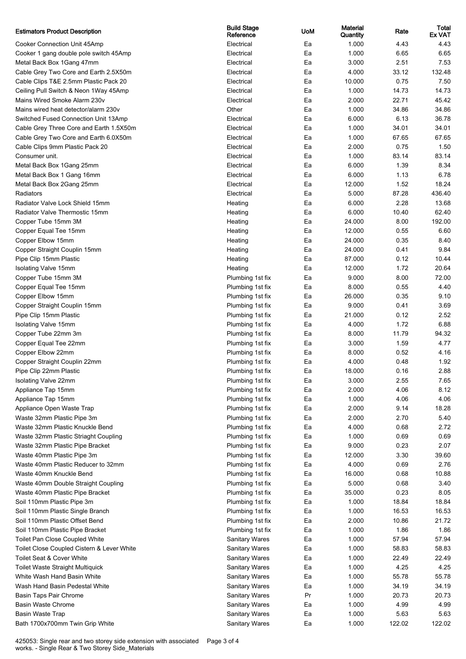| <b>Estimators Product Description</b>      | <b>Build Stage</b><br>Reference | <b>UoM</b> | <b>Material</b><br>Quantity | Rate   | Total<br><b>Ex VAT</b> |
|--------------------------------------------|---------------------------------|------------|-----------------------------|--------|------------------------|
| Cooker Connection Unit 45Amp               | Electrical                      | Ea         | 1.000                       | 4.43   | 4.43                   |
| Cooker 1 gang double pole switch 45Amp     | Electrical                      | Ea         | 1.000                       | 6.65   | 6.65                   |
| Metal Back Box 1Gang 47mm                  | Electrical                      | Ea         | 3.000                       | 2.51   | 7.53                   |
| Cable Grey Two Core and Earth 2.5X50m      | Electrical                      | Ea         | 4.000                       | 33.12  | 132.48                 |
| Cable Clips T&E 2.5mm Plastic Pack 20      | Electrical                      | Ea         | 10.000                      | 0.75   | 7.50                   |
| Ceiling Pull Switch & Neon 1Way 45Amp      | Electrical                      | Ea         | 1.000                       | 14.73  | 14.73                  |
| Mains Wired Smoke Alarm 230v               | Electrical                      | Ea         | 2.000                       | 22.71  | 45.42                  |
| Mains wired heat detector/alarm 230v       | Other                           | Ea         | 1.000                       | 34.86  | 34.86                  |
| Switched Fused Connection Unit 13Amp       | Electrical                      | Ea         | 6.000                       | 6.13   | 36.78                  |
| Cable Grey Three Core and Earth 1.5X50m    | Electrical                      | Ea         | 1.000                       | 34.01  | 34.01                  |
| Cable Grey Two Core and Earth 6.0X50m      | Electrical                      | Ea         | 1.000                       | 67.65  | 67.65                  |
| Cable Clips 9mm Plastic Pack 20            | Electrical                      | Ea         | 2.000                       | 0.75   | 1.50                   |
| Consumer unit.                             | Electrical                      | Ea         | 1.000                       | 83.14  | 83.14                  |
| Metal Back Box 1Gang 25mm                  | Electrical                      | Ea         | 6.000                       | 1.39   | 8.34                   |
| Metal Back Box 1 Gang 16mm                 | Electrical                      | Ea         | 6.000                       | 1.13   | 6.78                   |
| Metal Back Box 2Gang 25mm                  | Electrical                      | Ea         | 12.000                      | 1.52   | 18.24                  |
| Radiators                                  | Electrical                      | Ea         | 5.000                       | 87.28  | 436.40                 |
| Radiator Valve Lock Shield 15mm            | Heating                         | Ea         | 6.000                       | 2.28   | 13.68                  |
| Radiator Valve Thermostic 15mm             | Heating                         | Ea         | 6.000                       | 10.40  | 62.40                  |
| Copper Tube 15mm 3M                        | Heating                         | Ea         | 24.000                      | 8.00   | 192.00                 |
| Copper Equal Tee 15mm                      | Heating                         | Ea         | 12.000                      | 0.55   | 6.60                   |
| Copper Elbow 15mm                          | Heating                         | Ea         | 24.000                      | 0.35   | 8.40                   |
| Copper Straight Couplin 15mm               | Heating                         | Ea         | 24.000                      | 0.41   | 9.84                   |
| Pipe Clip 15mm Plastic                     | Heating                         | Ea         | 87.000                      | 0.12   | 10.44                  |
| Isolating Valve 15mm                       | Heating                         | Ea         | 12.000                      | 1.72   | 20.64                  |
| Copper Tube 15mm 3M                        | Plumbing 1st fix                | Ea         | 9.000                       | 8.00   | 72.00                  |
| Copper Equal Tee 15mm                      | Plumbing 1st fix                | Ea         | 8.000                       | 0.55   | 4.40                   |
| Copper Elbow 15mm                          | Plumbing 1st fix                | Ea         | 26.000                      | 0.35   | 9.10                   |
| Copper Straight Couplin 15mm               | Plumbing 1st fix                | Ea         | 9.000                       | 0.41   | 3.69                   |
| Pipe Clip 15mm Plastic                     | Plumbing 1st fix                | Ea         | 21.000                      | 0.12   | 2.52                   |
| Isolating Valve 15mm                       | Plumbing 1st fix                | Ea         | 4.000                       | 1.72   | 6.88                   |
| Copper Tube 22mm 3m                        | Plumbing 1st fix                | Ea         | 8.000                       | 11.79  | 94.32                  |
| Copper Equal Tee 22mm                      | Plumbing 1st fix                | Ea         | 3.000                       | 1.59   | 4.77                   |
| Copper Elbow 22mm                          | Plumbing 1st fix                | Ea         | 8.000                       | 0.52   | 4.16                   |
| Copper Straight Couplin 22mm               | Plumbing 1st fix                | Ea         | 4.000                       | 0.48   | 1.92                   |
| Pipe Clip 22mm Plastic                     | Plumbing 1st fix                | Ea         | 18.000                      | 0.16   | 2.88                   |
| Isolating Valve 22mm                       | Plumbing 1st fix                | Ea         | 3.000                       | 2.55   | 7.65                   |
| Appliance Tap 15mm                         | Plumbing 1st fix                | Ea         | 2.000                       | 4.06   | 8.12                   |
| Appliance Tap 15mm                         | Plumbing 1st fix                | Ea         | 1.000                       | 4.06   | 4.06                   |
| Appliance Open Waste Trap                  | Plumbing 1st fix                | Ea         | 2.000                       | 9.14   | 18.28                  |
| Waste 32mm Plastic Pipe 3m                 | Plumbing 1st fix                | Ea         | 2.000                       | 2.70   | 5.40                   |
| Waste 32mm Plastic Knuckle Bend            | Plumbing 1st fix                | Ea         | 4.000                       | 0.68   | 2.72                   |
| Waste 32mm Plastic Striaght Coupling       | Plumbing 1st fix                | Ea         | 1.000                       | 0.69   | 0.69                   |
| Waste 32mm Plastic Pipe Bracket            | Plumbing 1st fix                | Ea         | 9.000                       | 0.23   | 2.07                   |
| Waste 40mm Plastic Pipe 3m                 | Plumbing 1st fix                | Ea         | 12.000                      | 3.30   | 39.60                  |
| Waste 40mm Plastic Reducer to 32mm         | Plumbing 1st fix                | Ea         | 4.000                       | 0.69   | 2.76                   |
| Waste 40mm Knuckle Bend                    | Plumbing 1st fix                | Ea         | 16.000                      | 0.68   | 10.88                  |
| Waste 40mm Double Straight Coupling        | Plumbing 1st fix                | Ea         | 5.000                       | 0.68   | 3.40                   |
| Waste 40mm Plastic Pipe Bracket            | Plumbing 1st fix                | Ea         | 35.000                      | 0.23   | 8.05                   |
| Soil 110mm Plastic Pipe 3m                 | Plumbing 1st fix                | Ea         | 1.000                       | 18.84  | 18.84                  |
| Soil 110mm Plastic Single Branch           | Plumbing 1st fix                | Ea         | 1.000                       | 16.53  | 16.53                  |
| Soil 110mm Plastic Offset Bend             | Plumbing 1st fix                | Ea         | 2.000                       | 10.86  | 21.72                  |
| Soil 110mm Plastic Pipe Bracket            | Plumbing 1st fix                | Ea         | 1.000                       | 1.86   | 1.86                   |
| Toilet Pan Close Coupled White             | <b>Sanitary Wares</b>           | Ea         | 1.000                       | 57.94  | 57.94                  |
| Toilet Close Coupled Cistern & Lever White | <b>Sanitary Wares</b>           | Ea         | 1.000                       | 58.83  | 58.83                  |
| Toilet Seat & Cover White                  | <b>Sanitary Wares</b>           | Ea         | 1.000                       | 22.49  | 22.49                  |
| <b>Toilet Waste Straight Multiquick</b>    | <b>Sanitary Wares</b>           | Ea         | 1.000                       | 4.25   | 4.25                   |
| White Wash Hand Basin White                | <b>Sanitary Wares</b>           | Ea         | 1.000                       | 55.78  | 55.78                  |
| Wash Hand Basin Pedestal White             | <b>Sanitary Wares</b>           | Ea         | 1.000                       | 34.19  | 34.19                  |
| Basin Taps Pair Chrome                     | <b>Sanitary Wares</b>           | Pr         | 1.000                       | 20.73  | 20.73                  |
| Basin Waste Chrome                         | <b>Sanitary Wares</b>           | Ea         | 1.000                       | 4.99   | 4.99                   |
| Basin Waste Trap                           | <b>Sanitary Wares</b>           | Ea         | 1.000                       | 5.63   | 5.63                   |
| Bath 1700x700mm Twin Grip White            | <b>Sanitary Wares</b>           | Ea         | 1.000                       | 122.02 | 122.02                 |